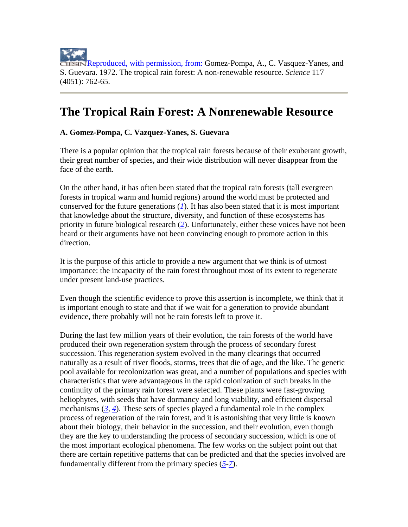[Reproduced, with permission, from:](http://www.ciesin.org./docs/002-111/permit.html) Gomez-Pompa, A., C. Vasquez-Yanes, and S. Guevara. 1972. The tropical rain forest: A non-renewable resource. *Science* 117 (4051): 762-65.

### **The Tropical Rain Forest: A Nonrenewable Resource**

#### **A. Gomez-Pompa, C. Vazquez-Yanes, S. Guevara**

There is a popular opinion that the tropical rain forests because of their exuberant growth, their great number of species, and their wide distribution will never disappear from the face of the earth.

On the other hand, it has often been stated that the tropical rain forests (tall evergreen forests in tropical warm and humid regions) around the world must be protected and conserved for the future generations (*[1](http://www.ciesin.org./docs/002-111/002-111.html#fn1)*). It has also been stated that it is most important that knowledge about the structure, diversity, and function of these ecosystems has priority in future biological research (*[2](http://www.ciesin.org./docs/002-111/002-111.html#fn2)*). Unfortunately, either these voices have not been heard or their arguments have not been convincing enough to promote action in this direction.

It is the purpose of this article to provide a new argument that we think is of utmost importance: the incapacity of the rain forest throughout most of its extent to regenerate under present land-use practices.

Even though the scientific evidence to prove this assertion is incomplete, we think that it is important enough to state and that if we wait for a generation to provide abundant evidence, there probably will not be rain forests left to prove it.

During the last few million years of their evolution, the rain forests of the world have produced their own regeneration system through the process of secondary forest succession. This regeneration system evolved in the many clearings that occurred naturally as a result of river floods, storms, trees that die of age, and the like. The genetic pool available for recolonization was great, and a number of populations and species with characteristics that were advantageous in the rapid colonization of such breaks in the continuity of the primary rain forest were selected. These plants were fast-growing heliophytes, with seeds that have dormancy and long viability, and efficient dispersal mechanisms  $(3, 4)$  $(3, 4)$  $(3, 4)$  $(3, 4)$  $(3, 4)$ . These sets of species played a fundamental role in the complex process of regeneration of the rain forest, and it is astonishing that very little is known about their biology, their behavior in the succession, and their evolution, even though they are the key to understanding the process of secondary succession, which is one of the most important ecological phenomena. The few works on the subject point out that there are certain repetitive patterns that can be predicted and that the species involved are fundamentally different from the primary species (*[5](http://www.ciesin.org./docs/002-111/002-111.html#fn5)[-7](http://www.ciesin.org./docs/002-111/002-111.html#fn7)*).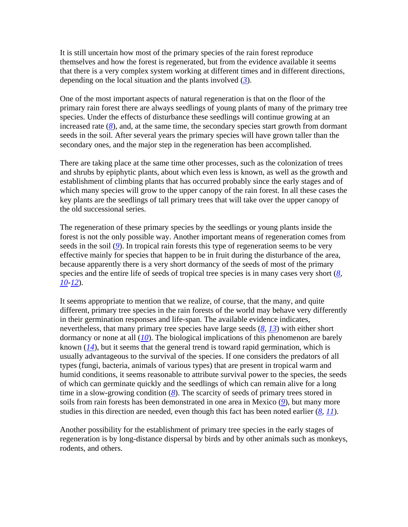It is still uncertain how most of the primary species of the rain forest reproduce themselves and how the forest is regenerated, but from the evidence available it seems that there is a very complex system working at different times and in different directions, depending on the local situation and the plants involved (*[3](http://www.ciesin.org./docs/002-111/002-111.html#fn3)*).

One of the most important aspects of natural regeneration is that on the floor of the primary rain forest there are always seedlings of young plants of many of the primary tree species. Under the effects of disturbance these seedlings will continue growing at an increased rate  $(8)$  $(8)$  $(8)$ , and, at the same time, the secondary species start growth from dormant seeds in the soil. After several years the primary species will have grown taller than the secondary ones, and the major step in the regeneration has been accomplished.

There are taking place at the same time other processes, such as the colonization of trees and shrubs by epiphytic plants, about which even less is known, as well as the growth and establishment of climbing plants that has occurred probably since the early stages and of which many species will grow to the upper canopy of the rain forest. In all these cases the key plants are the seedlings of tall primary trees that will take over the upper canopy of the old successional series.

The regeneration of these primary species by the seedlings or young plants inside the forest is not the only possible way. Another important means of regeneration comes from seeds in the soil (*[9](http://www.ciesin.org./docs/002-111/002-111.html#fn9)*). In tropical rain forests this type of regeneration seems to be very effective mainly for species that happen to be in fruit during the disturbance of the area, because apparently there is a very short dormancy of the seeds of most of the primary species and the entire life of seeds of tropical tree species is in many cases very short (*[8,](http://www.ciesin.org./docs/002-111/002-111.html#fn8) [10](http://www.ciesin.org./docs/002-111/002-111.html#fn10)-[12](http://www.ciesin.org./docs/002-111/002-111.html#fn12)*).

It seems appropriate to mention that we realize, of course, that the many, and quite different, primary tree species in the rain forests of the world may behave very differently in their germination responses and life-span. The available evidence indicates, nevertheless, that many primary tree species have large seeds (*[8](http://www.ciesin.org./docs/002-111/002-111.html#fn8), [13](http://www.ciesin.org./docs/002-111/002-111.html#fn13)*) with either short dormancy or none at all (*[10](http://www.ciesin.org./docs/002-111/002-111.html#fn10)*). The biological implications of this phenomenon are barely known  $(14)$  $(14)$  $(14)$ , but it seems that the general trend is toward rapid germination, which is usually advantageous to the survival of the species. If one considers the predators of all types (fungi, bacteria, animals of various types) that are present in tropical warm and humid conditions, it seems reasonable to attribute survival power to the species, the seeds of which can germinate quickly and the seedlings of which can remain alive for a long time in a slow-growing condition (*[8](http://www.ciesin.org./docs/002-111/002-111.html#fn8)*). The scarcity of seeds of primary trees stored in soils from rain forests has been demonstrated in one area in Mexico (*[9](http://www.ciesin.org./docs/002-111/002-111.html#fn9)*), but many more studies in this direction are needed, even though this fact has been noted earlier (*[8](http://www.ciesin.org./docs/002-111/002-111.html#fn8), [11](http://www.ciesin.org./docs/002-111/002-111.html#fn11)*).

Another possibility for the establishment of primary tree species in the early stages of regeneration is by long-distance dispersal by birds and by other animals such as monkeys, rodents, and others.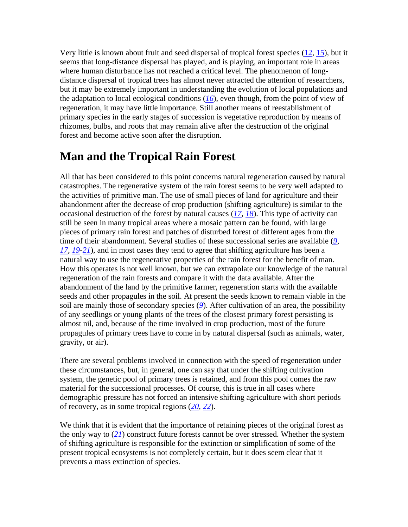Very little is known about fruit and seed dispersal of tropical forest species ([12,](http://www.ciesin.org./docs/002-111/002-111.html#fn12) [15\)](http://www.ciesin.org./docs/002-111/002-111.html#fn15), but it seems that long-distance dispersal has played, and is playing, an important role in areas where human disturbance has not reached a critical level. The phenomenon of longdistance dispersal of tropical trees has almost never attracted the attention of researchers, but it may be extremely important in understanding the evolution of local populations and the adaptation to local ecological conditions (*[16](http://www.ciesin.org./docs/002-111/002-111.html#fn16)*), even though, from the point of view of regeneration, it may have little importance. Still another means of reestablishment of primary species in the early stages of succession is vegetative reproduction by means of rhizomes, bulbs, and roots that may remain alive after the destruction of the original forest and become active soon after the disruption.

#### **Man and the Tropical Rain Forest**

All that has been considered to this point concerns natural regeneration caused by natural catastrophes. The regenerative system of the rain forest seems to be very well adapted to the activities of primitive man. The use of small pieces of land for agriculture and their abandonment after the decrease of crop production (shifting agriculture) is similar to the occasional destruction of the forest by natural causes (*[17,](http://www.ciesin.org./docs/002-111/002-111.html#fn17) [18](http://www.ciesin.org./docs/002-111/002-111.html#fn18)*). This type of activity can still be seen in many tropical areas where a mosaic pattern can be found, with large pieces of primary rain forest and patches of disturbed forest of different ages from the time of their abandonment. Several studies of these successional series are available (*[9](http://www.ciesin.org./docs/002-111/002-111.html#fn9), [17](http://www.ciesin.org./docs/002-111/002-111.html#fn17), [19](http://www.ciesin.org./docs/002-111/002-111.html#fn19)-[21](http://www.ciesin.org./docs/002-111/002-111.html#fn21)*), and in most cases they tend to agree that shifting agriculture has been a natural way to use the regenerative properties of the rain forest for the benefit of man. How this operates is not well known, but we can extrapolate our knowledge of the natural regeneration of the rain forests and compare it with the data available. After the abandonment of the land by the primitive farmer, regeneration starts with the available seeds and other propagules in the soil. At present the seeds known to remain viable in the soil are mainly those of secondary species (*[9](http://www.ciesin.org./docs/002-111/002-111.html#fn9)*). After cultivation of an area, the possibility of any seedlings or young plants of the trees of the closest primary forest persisting is almost nil, and, because of the time involved in crop production, most of the future propagules of primary trees have to come in by natural dispersal (such as animals, water, gravity, or air).

There are several problems involved in connection with the speed of regeneration under these circumstances, but, in general, one can say that under the shifting cultivation system, the genetic pool of primary trees is retained, and from this pool comes the raw material for the successional processes. Of course, this is true in all cases where demographic pressure has not forced an intensive shifting agriculture with short periods of recovery, as in some tropical regions (*[20,](http://www.ciesin.org./docs/002-111/002-111.html#fn20) [22](http://www.ciesin.org./docs/002-111/002-111.html#fn22)*).

We think that it is evident that the importance of retaining pieces of the original forest as the only way to  $(21)$  $(21)$  $(21)$  construct future forests cannot be over stressed. Whether the system of shifting agriculture is responsible for the extinction or simplification of some of the present tropical ecosystems is not completely certain, but it does seem clear that it prevents a mass extinction of species.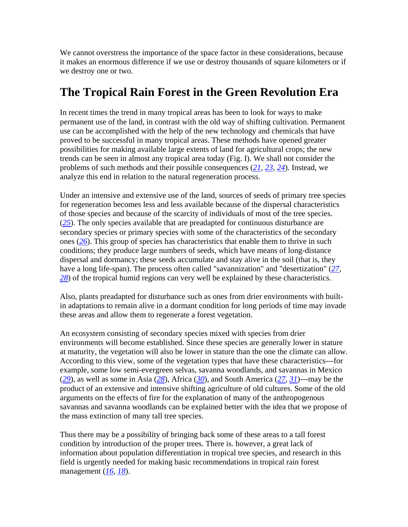We cannot overstress the importance of the space factor in these considerations, because it makes an enormous difference if we use or destroy thousands of square kilometers or if we destroy one or two.

### **The Tropical Rain Forest in the Green Revolution Era**

In recent times the trend in many tropical areas has been to look for ways to make permanent use of the land, in contrast with the old way of shifting cultivation. Permanent use can be accomplished with the help of the new technology and chemicals that have proved to be successful in many tropical areas. These methods have opened greater possibilities for making available large extents of land for agricultural crops; the new trends can be seen in almost any tropical area today (Fig. I). We shall not consider the problems of such methods and their possible consequences (*[21,](http://www.ciesin.org./docs/002-111/002-111.html#fn21) [23,](http://www.ciesin.org./docs/002-111/002-111.html#fn23) [24](http://www.ciesin.org./docs/002-111/002-111.html#fn24)*). Instead, we analyze this end in relation to the natural regeneration process.

Under an intensive and extensive use of the land, sources of seeds of primary tree species for regeneration becomes less and less available because of the dispersal characteristics of those species and because of the scarcity of individuals of most of the tree species. (*[25](http://www.ciesin.org./docs/002-111/002-111.html#fn25)*). The only species available that are preadapted for continuous disturbance are secondary species or primary species with some of the characteristics of the secondary ones (*[26](http://www.ciesin.org./docs/002-111/002-111.html#fn26)*). This group of species has characteristics that enable them to thrive in such conditions; they produce large numbers of seeds, which have means of long-distance dispersal and dormancy; these seeds accumulate and stay alive in the soil (that is, they have a long life-span). The process often called "savannization" and "desertization" (*[27](http://www.ciesin.org./docs/002-111/002-111.html#fn27), [28](http://www.ciesin.org./docs/002-111/002-111.html#fn28)*) of the tropical humid regions can very well be explained by these characteristics.

Also, plants preadapted for disturbance such as ones from drier environments with builtin adaptations to remain alive in a dormant condition for long periods of time may invade these areas and allow them to regenerate a forest vegetation.

An ecosystem consisting of secondary species mixed with species from drier environments will become established. Since these species are generally lower in stature at maturity, the vegetation will also be lower in stature than the one the climate can allow. According to this view, some of the vegetation types that have these characteristics---for example, some low semi-evergreen selvas, savanna woodlands, and savannas in Mexico (*[29](http://www.ciesin.org./docs/002-111/002-111.html#fn29)*), as well as some in Asia (*[28](http://www.ciesin.org./docs/002-111/002-111.html#fn28)*), Africa (*[30](http://www.ciesin.org./docs/002-111/002-111.html#fn30)*), and South America (*[27,](http://www.ciesin.org./docs/002-111/002-111.html#fn27) [31](http://www.ciesin.org./docs/002-111/002-111.html#fn31)*)---may be the product of an extensive and intensive shifting agriculture of old cultures. Some of the old arguments on the effects of fire for the explanation of many of the anthropogenous savannas and savanna woodlands can be explained better with the idea that we propose of the mass extinction of many tall tree species.

Thus there may be a possibility of bringing back some of these areas to a tall forest condition by introduction of the proper trees. There is. however, a great lack of information about population differentiation in tropical tree species, and research in this field is urgently needed for making basic recommendations in tropical rain forest management (*[16](http://www.ciesin.org./docs/002-111/002-111.html#fn16), [18](http://www.ciesin.org./docs/002-111/002-111.html#fn18)*).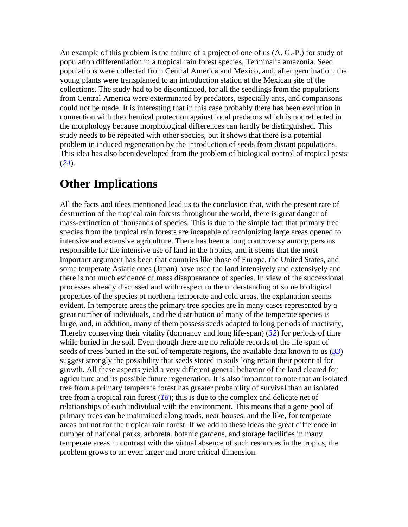An example of this problem is the failure of a project of one of us (A. G.-P.) for study of population differentiation in a tropical rain forest species, Terminalia amazonia. Seed populations were collected from Central America and Mexico, and, after germination, the young plants were transplanted to an introduction station at the Mexican site of the collections. The study had to be discontinued, for all the seedlings from the populations from Central America were exterminated by predators, especially ants, and comparisons could not be made. It is interesting that in this case probably there has been evolution in connection with the chemical protection against local predators which is not reflected in the morphology because morphological differences can hardly be distinguished. This study needs to be repeated with other species, but it shows that there is a potential problem in induced regeneration by the introduction of seeds from distant populations. This idea has also been developed from the problem of biological control of tropical pests (*[24](http://www.ciesin.org./docs/002-111/002-111.html#fn24)*).

### **Other Implications**

All the facts and ideas mentioned lead us to the conclusion that, with the present rate of destruction of the tropical rain forests throughout the world, there is great danger of mass-extinction of thousands of species. This is due to the simple fact that primary tree species from the tropical rain forests are incapable of recolonizing large areas opened to intensive and extensive agriculture. There has been a long controversy among persons responsible for the intensive use of land in the tropics, and it seems that the most important argument has been that countries like those of Europe, the United States, and some temperate Asiatic ones (Japan) have used the land intensively and extensively and there is not much evidence of mass disappearance of species. In view of the successional processes already discussed and with respect to the understanding of some biological properties of the species of northern temperate and cold areas, the explanation seems evident. In temperate areas the primary tree species are in many cases represented by a great number of individuals, and the distribution of many of the temperate species is large, and, in addition, many of them possess seeds adapted to long periods of inactivity, Thereby conserving their vitality (dormancy and long life-span) (*[32](http://www.ciesin.org./docs/002-111/002-111.html#fn32)*) for periods of time while buried in the soil. Even though there are no reliable records of the life-span of seeds of trees buried in the soil of temperate regions, the available data known to us (*[33](http://www.ciesin.org./docs/002-111/002-111.html#fn33)*) suggest strongly the possibility that seeds stored in soils long retain their potential for growth. All these aspects yield a very different general behavior of the land cleared for agriculture and its possible future regeneration. It is also important to note that an isolated tree from a primary temperate forest has greater probability of survival than an isolated tree from a tropical rain forest  $(18)$  $(18)$  $(18)$ ; this is due to the complex and delicate net of relationships of each individual with the environment. This means that a gene pool of primary trees can be maintained along roads, near houses, and the like, for temperate areas but not for the tropical rain forest. If we add to these ideas the great difference in number of national parks, arboreta. botanic gardens, and storage facilities in many temperate areas in contrast with the virtual absence of such resources in the tropics, the problem grows to an even larger and more critical dimension.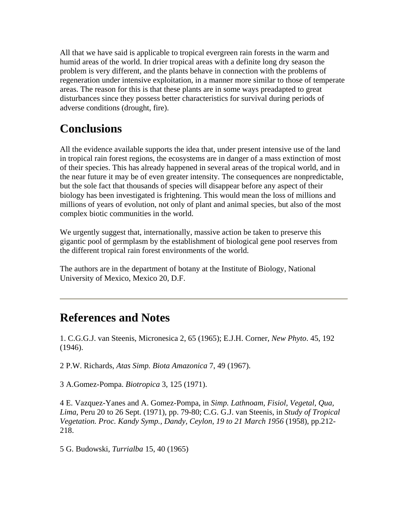All that we have said is applicable to tropical evergreen rain forests in the warm and humid areas of the world. In drier tropical areas with a definite long dry season the problem is very different, and the plants behave in connection with the problems of regeneration under intensive exploitation, in a manner more similar to those of temperate areas. The reason for this is that these plants are in some ways preadapted to great disturbances since they possess better characteristics for survival during periods of adverse conditions (drought, fire).

# **Conclusions**

All the evidence available supports the idea that, under present intensive use of the land in tropical rain forest regions, the ecosystems are in danger of a mass extinction of most of their species. This has already happened in several areas of the tropical world, and in the near future it may be of even greater intensity. The consequences are nonpredictable, but the sole fact that thousands of species will disappear before any aspect of their biology has been investigated is frightening. This would mean the loss of millions and millions of years of evolution, not only of plant and animal species, but also of the most complex biotic communities in the world.

We urgently suggest that, internationally, massive action be taken to preserve this gigantic pool of germplasm by the establishment of biological gene pool reserves from the different tropical rain forest environments of the world.

The authors are in the department of botany at the Institute of Biology, National University of Mexico, Mexico 20, D.F.

## **References and Notes**

1. C.G.G.J. van Steenis, Micronesica 2, 65 (1965); E.J.H. Corner, *New Phyto*. 45, 192 (1946).

2 P.W. Richards, *Atas Simp. Biota Amazonica* 7, 49 (1967).

3 A.Gomez-Pompa. *Biotropica* 3, 125 (1971).

4 E. Vazquez-Yanes and A. Gomez-Pompa, in *Simp. Lathnoam, Fisiol, Vegetal, Qua, Lima*, Peru 20 to 26 Sept. (1971), pp. 79-80; C.G. G.J. van Steenis, in *Study of Tropical Vegetation. Proc. Kandy Symp., Dandy, Ceylon, 19 to 21 March 1956* (1958), pp.212- 218.

5 G. Budowski, *Turrialba* 15, 40 (1965)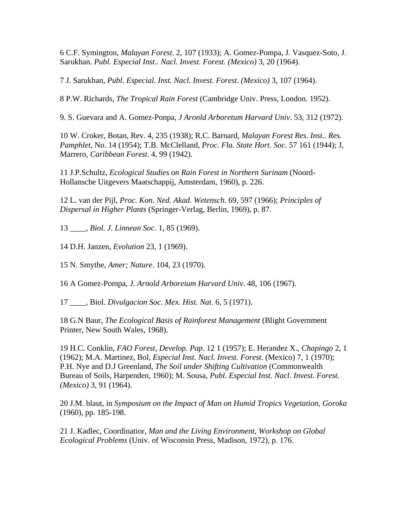6 C.F. Symington, *Malayan Forest*. 2, 107 (1933); A. Gomez-Pompa, J. Vasquez-Soto, J. Sarukhan. *Publ. Especial Inst.. Nacl. Invest. Forest. (Mexico)* 3, 20 (1964).

7 J. Sarukhan, *Publ. Especial. Inst. Nacl. Invest. Forest. (Mexico)* 3, 107 (1964).

8 P.W. Richards, *The Tropical Rain Forest* (Cambridge Univ. Press, London. 1952).

9. S. Guevara and A. Gomez-Ponpa, *J Aronld Arboretum Harvard Univ*. 53, 312 (1972).

10 W. Croker, Botan, Rev. 4, 235 (1938); R.C. Barnard, *Malayan Forest Res. Inst.. Res. Pamphlet*, No. 14 (1954); T.B. McClelland, *Proc. Fla. State Hort. Soc*. 57 161 (1944); J, Marrero, *Caribbean Forest*. 4, 99 (1942).

11 J.P.Schultz, *Ecological Studies on Rain Forest in Northern Surinam* (Noord-Hollansche Uitgevers Maatschappij, Amsterdam, 1960), p. 226.

12 L. van der Pijl, *Proc. Kon. Ned. Akad. Wetensch*. 69, 597 (1966); *Principles of Dispersal in Higher Plants* (Springer-Verlag, Berlin, 1969), p. 87.

13 \_\_\_\_, *Biol. J. Linnean Soc*. 1, 85 (1969).

14 D.H. Janzen, *Evolution* 23, 1 (1969).

15 N. Smythe, *Amer; Nature*. 104, 23 (1970).

16 A Gomez-Pompa, *J. Arnold Arboreium Harvard Univ*. 48, 106 (1967).

17 \_\_\_\_, Biol. *Divulgacion Soc. Mex. Hist. Nat*. 6, 5 (1971).

18 G.N Baur, *The Ecological Basis of Rainforest Management* (Blight Government Printer, New South Wales, 1968).

19 H.C. Conklin, *FAO Forest, Develop. Pap*. 12 1 (1957); E. Herandez X., *Chapingo* 2, 1 (1962); M.A. Martinez, Bol, *Especial Inst. Nacl. Invest. Forest*. (Mexico) 7, 1 (1970); P.H. Nye and D.J Greenland, *The Soil under Shifting Cultivation* (Commonwealth Bureau of Soils, Harpenden, 1960); M. Sousa, *Publ. Especial Inst. Nacl. Invest. Forest. (Mexico)* 3, 91 (1964).

20 J.M. blaut, in *Symposium on the Impact of Man on Humid Tropics Vegetation, Goroka* (1960), pp. 185-198.

21 J. Kadlec, Coordinatior, *Man and the Living Environment, Workshop on Global Ecological Problems* (Univ. of Wisconsin Press, Madison, 1972), p. 176.